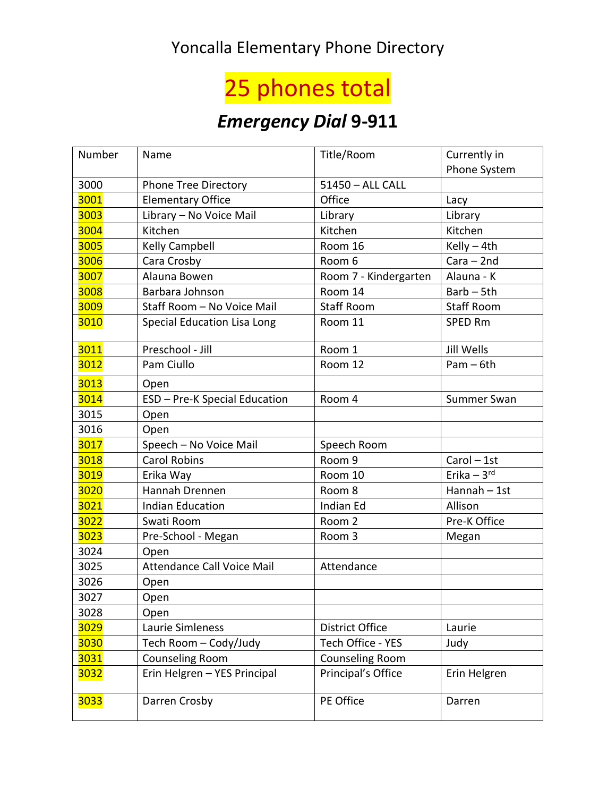## Yoncalla Elementary Phone Directory

## 25 phones total

## *Emergency Dial* **9-911**

| Number | Name                               | Title/Room             | Currently in             |
|--------|------------------------------------|------------------------|--------------------------|
|        |                                    |                        | Phone System             |
| 3000   | <b>Phone Tree Directory</b>        | 51450 - ALL CALL       |                          |
| 3001   | <b>Elementary Office</b>           | Office                 | Lacy                     |
| 3003   | Library - No Voice Mail            | Library                | Library                  |
| 3004   | Kitchen                            | Kitchen                | Kitchen                  |
| 3005   | Kelly Campbell                     | Room 16                | Kelly $-4th$             |
| 3006   | Cara Crosby                        | Room 6                 | $Cara - 2nd$             |
| 3007   | Alauna Bowen                       | Room 7 - Kindergarten  | Alauna - K               |
| 3008   | Barbara Johnson                    | Room 14                | $Barb - 5th$             |
| 3009   | Staff Room - No Voice Mail         | <b>Staff Room</b>      | <b>Staff Room</b>        |
| 3010   | <b>Special Education Lisa Long</b> | Room 11                | <b>SPED Rm</b>           |
| 3011   | Preschool - Jill                   | Room 1                 | Jill Wells               |
| 3012   | Pam Ciullo                         | Room 12                | $Pam - 6th$              |
| 3013   | Open                               |                        |                          |
| 3014   | ESD - Pre-K Special Education      | Room 4                 | Summer Swan              |
| 3015   | Open                               |                        |                          |
| 3016   | Open                               |                        |                          |
| 3017   | Speech - No Voice Mail             | Speech Room            |                          |
| 3018   | <b>Carol Robins</b>                | Room 9                 | Carol - 1st              |
| 3019   | Erika Way                          | Room 10                | Erika $-3$ <sup>rd</sup> |
| 3020   | Hannah Drennen                     | Room 8                 | Hannah - 1st             |
| 3021   | <b>Indian Education</b>            | <b>Indian Ed</b>       | Allison                  |
| 3022   | Swati Room                         | Room 2                 | Pre-K Office             |
| 3023   | Pre-School - Megan                 | Room 3                 | Megan                    |
| 3024   | Open                               |                        |                          |
| 3025   | Attendance Call Voice Mail         | Attendance             |                          |
| 3026   | Open                               |                        |                          |
| 3027   | Open                               |                        |                          |
| 3028   | Open                               |                        |                          |
| 3029   | Laurie Simleness                   | <b>District Office</b> | Laurie                   |
| 3030   | Tech Room - Cody/Judy              | Tech Office - YES      | Judy                     |
| 3031   | Counseling Room                    | Counseling Room        |                          |
| 3032   | Erin Helgren - YES Principal       | Principal's Office     | Erin Helgren             |
| 3033   | Darren Crosby                      | PE Office              | Darren                   |